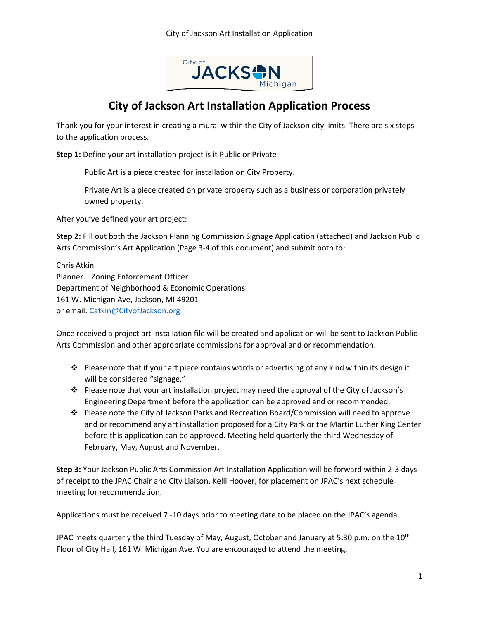

## **City of Jackson Art Installation Application Process**

Thank you for your interest in creating a mural within the City of Jackson city limits. There are six steps to the application process.

**Step 1:** Define your art installation project is it Public or Private

Public Art is a piece created for installation on City Property.

Private Art is a piece created on private property such as a business or corporation privately owned property.

After you've defined your art project:

**Step 2:** Fill out both the Jackson Planning Commission Signage Application (attached) and Jackson Public Arts Commission's Art Application (Page 3-4 of this document) and submit both to:

Chris Atkin Planner – Zoning Enforcement Officer Department of Neighborhood & Economic Operations 161 W. Michigan Ave, Jackson, MI 49201 or email: [Catkin@CityofJackson.org](mailto:Catkin@CityofJackson.org)

Once received a project art installation file will be created and application will be sent to Jackson Public Arts Commission and other appropriate commissions for approval and or recommendation.

- $\cdot \cdot$  Please note that if your art piece contains words or advertising of any kind within its design it will be considered "signage."
- \* Please note that your art installation project may need the approval of the City of Jackson's Engineering Department before the application can be approved and or recommended.
- Please note the City of Jackson Parks and Recreation Board/Commission will need to approve and or recommend any art installation proposed for a City Park or the Martin Luther King Center before this application can be approved. Meeting held quarterly the third Wednesday of February, May, August and November.

**Step 3:** Your Jackson Public Arts Commission Art Installation Application will be forward within 2-3 days of receipt to the JPAC Chair and City Liaison, Kelli Hoover, for placement on JPAC's next schedule meeting for recommendation.

Applications must be received 7 -10 days prior to meeting date to be placed on the JPAC's agenda.

JPAC meets quarterly the third Tuesday of May, August, October and January at 5:30 p.m. on the 10<sup>th</sup> Floor of City Hall, 161 W. Michigan Ave. You are encouraged to attend the meeting.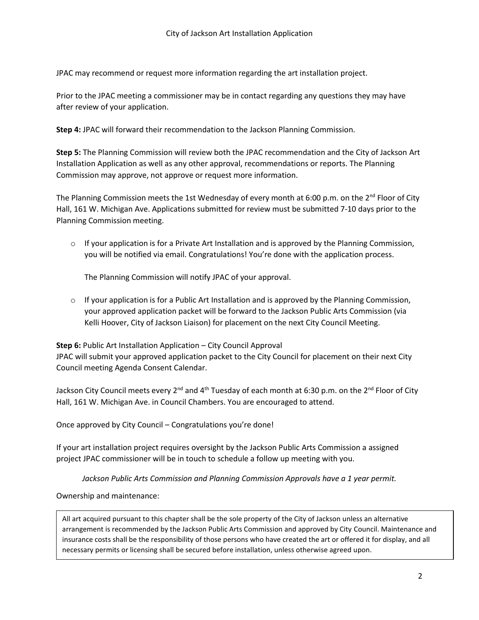JPAC may recommend or request more information regarding the art installation project.

Prior to the JPAC meeting a commissioner may be in contact regarding any questions they may have after review of your application.

**Step 4:** JPAC will forward their recommendation to the Jackson Planning Commission.

**Step 5:** The Planning Commission will review both the JPAC recommendation and the City of Jackson Art Installation Application as well as any other approval, recommendations or reports. The Planning Commission may approve, not approve or request more information.

The Planning Commission meets the 1st Wednesday of every month at 6:00 p.m. on the 2<sup>nd</sup> Floor of City Hall, 161 W. Michigan Ave. Applications submitted for review must be submitted 7-10 days prior to the Planning Commission meeting.

 $\circ$  If your application is for a Private Art Installation and is approved by the Planning Commission, you will be notified via email. Congratulations! You're done with the application process.

The Planning Commission will notify JPAC of your approval.

 $\circ$  If your application is for a Public Art Installation and is approved by the Planning Commission, your approved application packet will be forward to the Jackson Public Arts Commission (via Kelli Hoover, City of Jackson Liaison) for placement on the next City Council Meeting.

**Step 6:** Public Art Installation Application – City Council Approval JPAC will submit your approved application packet to the City Council for placement on their next City Council meeting Agenda Consent Calendar.

Jackson City Council meets every 2<sup>nd</sup> and 4<sup>th</sup> Tuesday of each month at 6:30 p.m. on the 2<sup>nd</sup> Floor of City Hall, 161 W. Michigan Ave. in Council Chambers. You are encouraged to attend.

Once approved by City Council – Congratulations you're done!

If your art installation project requires oversight by the Jackson Public Arts Commission a assigned project JPAC commissioner will be in touch to schedule a follow up meeting with you.

*Jackson Public Arts Commission and Planning Commission Approvals have a 1 year permit.*

Ownership and maintenance:

All art acquired pursuant to this chapter shall be the sole property of the City of Jackson unless an alternative arrangement is recommended by the Jackson Public Arts Commission and approved by City Council. Maintenance and insurance costs shall be the responsibility of those persons who have created the art or offered it for display, and all necessary permits or licensing shall be secured before installation, unless otherwise agreed upon.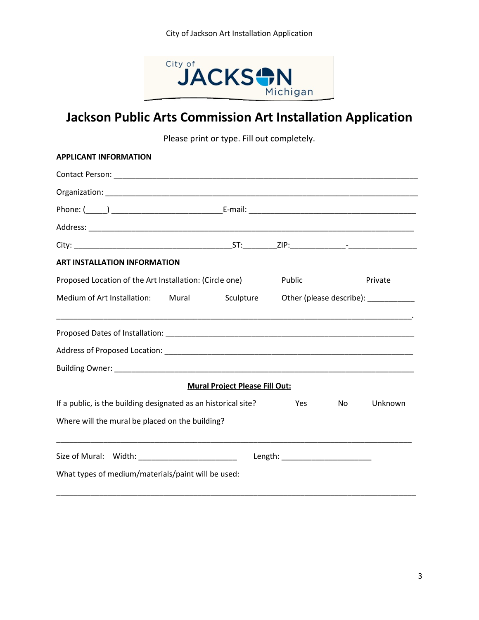

# **Jackson Public Arts Commission Art Installation Application**

Please print or type. Fill out completely.

| <b>APPLICANT INFORMATION</b>                                   |           |        |    |                                       |
|----------------------------------------------------------------|-----------|--------|----|---------------------------------------|
|                                                                |           |        |    |                                       |
|                                                                |           |        |    |                                       |
|                                                                |           |        |    |                                       |
|                                                                |           |        |    |                                       |
|                                                                |           |        |    |                                       |
| <b>ART INSTALLATION INFORMATION</b>                            |           |        |    |                                       |
| Proposed Location of the Art Installation: (Circle one)        |           | Public |    | Private                               |
| Medium of Art Installation: Mural                              | Sculpture |        |    | Other (please describe): ____________ |
|                                                                |           |        |    |                                       |
|                                                                |           |        |    |                                       |
|                                                                |           |        |    |                                       |
| <b>Mural Project Please Fill Out:</b>                          |           |        |    |                                       |
| If a public, is the building designated as an historical site? |           | Yes.   | No | Unknown                               |
| Where will the mural be placed on the building?                |           |        |    |                                       |
| Size of Mural: Width: 2008                                     |           |        |    |                                       |
| What types of medium/materials/paint will be used:             |           |        |    |                                       |
|                                                                |           |        |    |                                       |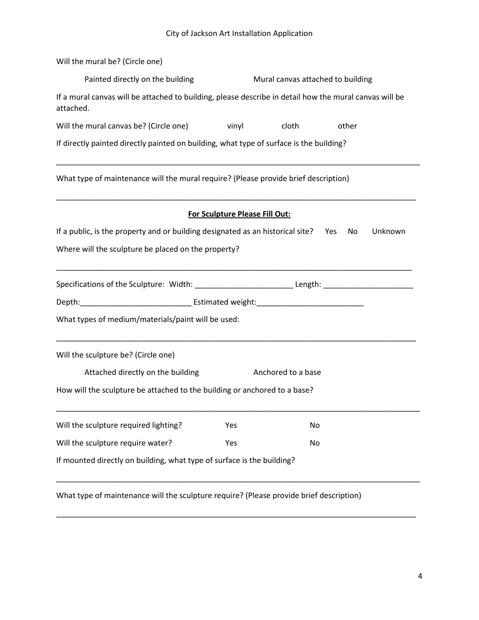#### City of Jackson Art Installation Application

| Will the mural be? (Circle one)                                                                                     |                                                                                                                |       |       |  |  |  |
|---------------------------------------------------------------------------------------------------------------------|----------------------------------------------------------------------------------------------------------------|-------|-------|--|--|--|
| Painted directly on the building                                                                                    | Mural canvas attached to building                                                                              |       |       |  |  |  |
| If a mural canvas will be attached to building, please describe in detail how the mural canvas will be<br>attached. |                                                                                                                |       |       |  |  |  |
| Will the mural canvas be? (Circle one) vinyl                                                                        |                                                                                                                | cloth | other |  |  |  |
| If directly painted directly painted on building, what type of surface is the building?                             |                                                                                                                |       |       |  |  |  |
| What type of maintenance will the mural require? (Please provide brief description)                                 |                                                                                                                |       |       |  |  |  |
|                                                                                                                     | For Sculpture Please Fill Out:                                                                                 |       |       |  |  |  |
| If a public, is the property and or building designated as an historical site? Yes<br>Unknown<br>No                 |                                                                                                                |       |       |  |  |  |
| Where will the sculpture be placed on the property?                                                                 |                                                                                                                |       |       |  |  |  |
|                                                                                                                     | Specifications of the Sculpture: Width: ________________________________Length: ______________________________ |       |       |  |  |  |
|                                                                                                                     |                                                                                                                |       |       |  |  |  |
| What types of medium/materials/paint will be used:                                                                  |                                                                                                                |       |       |  |  |  |
| Will the sculpture be? (Circle one)                                                                                 |                                                                                                                |       |       |  |  |  |
| Attached directly on the building<br>Anchored to a base                                                             |                                                                                                                |       |       |  |  |  |
| How will the sculpture be attached to the building or anchored to a base?                                           |                                                                                                                |       |       |  |  |  |
| Will the sculpture required lighting?                                                                               | Yes                                                                                                            | No    |       |  |  |  |
| Will the sculpture require water?                                                                                   | Yes                                                                                                            | No    |       |  |  |  |
| If mounted directly on building, what type of surface is the building?                                              |                                                                                                                |       |       |  |  |  |
| What type of maintenance will the sculpture require? (Please provide brief description)                             |                                                                                                                |       |       |  |  |  |

\_\_\_\_\_\_\_\_\_\_\_\_\_\_\_\_\_\_\_\_\_\_\_\_\_\_\_\_\_\_\_\_\_\_\_\_\_\_\_\_\_\_\_\_\_\_\_\_\_\_\_\_\_\_\_\_\_\_\_\_\_\_\_\_\_\_\_\_\_\_\_\_\_\_\_\_\_\_\_\_\_\_\_\_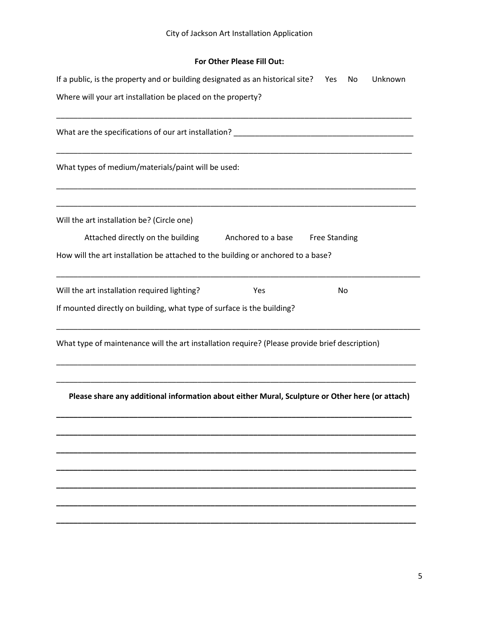### **For Other Please Fill Out:**

| If a public, is the property and or building designated as an historical site? Yes<br>Unknown<br>No                                                                 |  |  |  |  |  |  |
|---------------------------------------------------------------------------------------------------------------------------------------------------------------------|--|--|--|--|--|--|
| Where will your art installation be placed on the property?                                                                                                         |  |  |  |  |  |  |
|                                                                                                                                                                     |  |  |  |  |  |  |
| What types of medium/materials/paint will be used:                                                                                                                  |  |  |  |  |  |  |
| Will the art installation be? (Circle one)                                                                                                                          |  |  |  |  |  |  |
| Attached directly on the building<br>Anchored to a base<br><b>Free Standing</b><br>How will the art installation be attached to the building or anchored to a base? |  |  |  |  |  |  |
| Will the art installation required lighting?<br>No<br>Yes                                                                                                           |  |  |  |  |  |  |
| If mounted directly on building, what type of surface is the building?                                                                                              |  |  |  |  |  |  |
| What type of maintenance will the art installation require? (Please provide brief description)                                                                      |  |  |  |  |  |  |
| Please share any additional information about either Mural, Sculpture or Other here (or attach)                                                                     |  |  |  |  |  |  |
|                                                                                                                                                                     |  |  |  |  |  |  |
|                                                                                                                                                                     |  |  |  |  |  |  |
|                                                                                                                                                                     |  |  |  |  |  |  |
|                                                                                                                                                                     |  |  |  |  |  |  |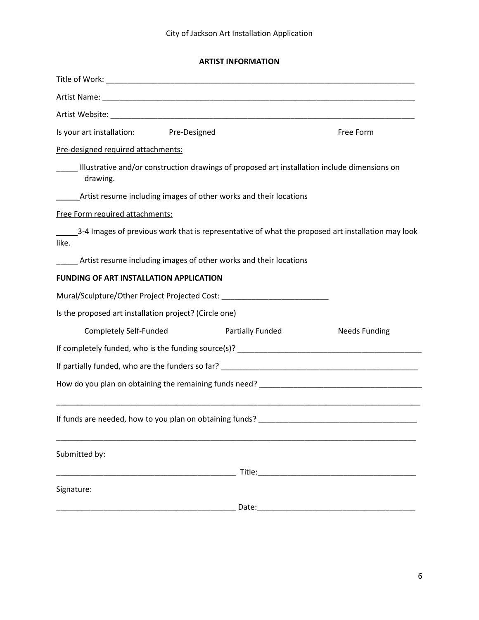### **ARTIST INFORMATION**

| Is your art installation: Pre-Designed                                                                        |                         |  | Free Form            |  |  |  |
|---------------------------------------------------------------------------------------------------------------|-------------------------|--|----------------------|--|--|--|
| Pre-designed required attachments:                                                                            |                         |  |                      |  |  |  |
| ____ Illustrative and/or construction drawings of proposed art installation include dimensions on<br>drawing. |                         |  |                      |  |  |  |
| __________ Artist resume including images of other works and their locations                                  |                         |  |                      |  |  |  |
| Free Form required attachments:                                                                               |                         |  |                      |  |  |  |
| 3-4 Images of previous work that is representative of what the proposed art installation may look<br>like.    |                         |  |                      |  |  |  |
| Artist resume including images of other works and their locations                                             |                         |  |                      |  |  |  |
| <b>FUNDING OF ART INSTALLATION APPLICATION</b>                                                                |                         |  |                      |  |  |  |
| Mural/Sculpture/Other Project Projected Cost: __________________________________                              |                         |  |                      |  |  |  |
| Is the proposed art installation project? (Circle one)                                                        |                         |  |                      |  |  |  |
| Completely Self-Funded                                                                                        | <b>Partially Funded</b> |  | <b>Needs Funding</b> |  |  |  |
|                                                                                                               |                         |  |                      |  |  |  |
|                                                                                                               |                         |  |                      |  |  |  |
|                                                                                                               |                         |  |                      |  |  |  |
|                                                                                                               |                         |  |                      |  |  |  |
| Submitted by:                                                                                                 |                         |  |                      |  |  |  |
|                                                                                                               |                         |  |                      |  |  |  |
| Signature:                                                                                                    |                         |  |                      |  |  |  |
|                                                                                                               |                         |  |                      |  |  |  |